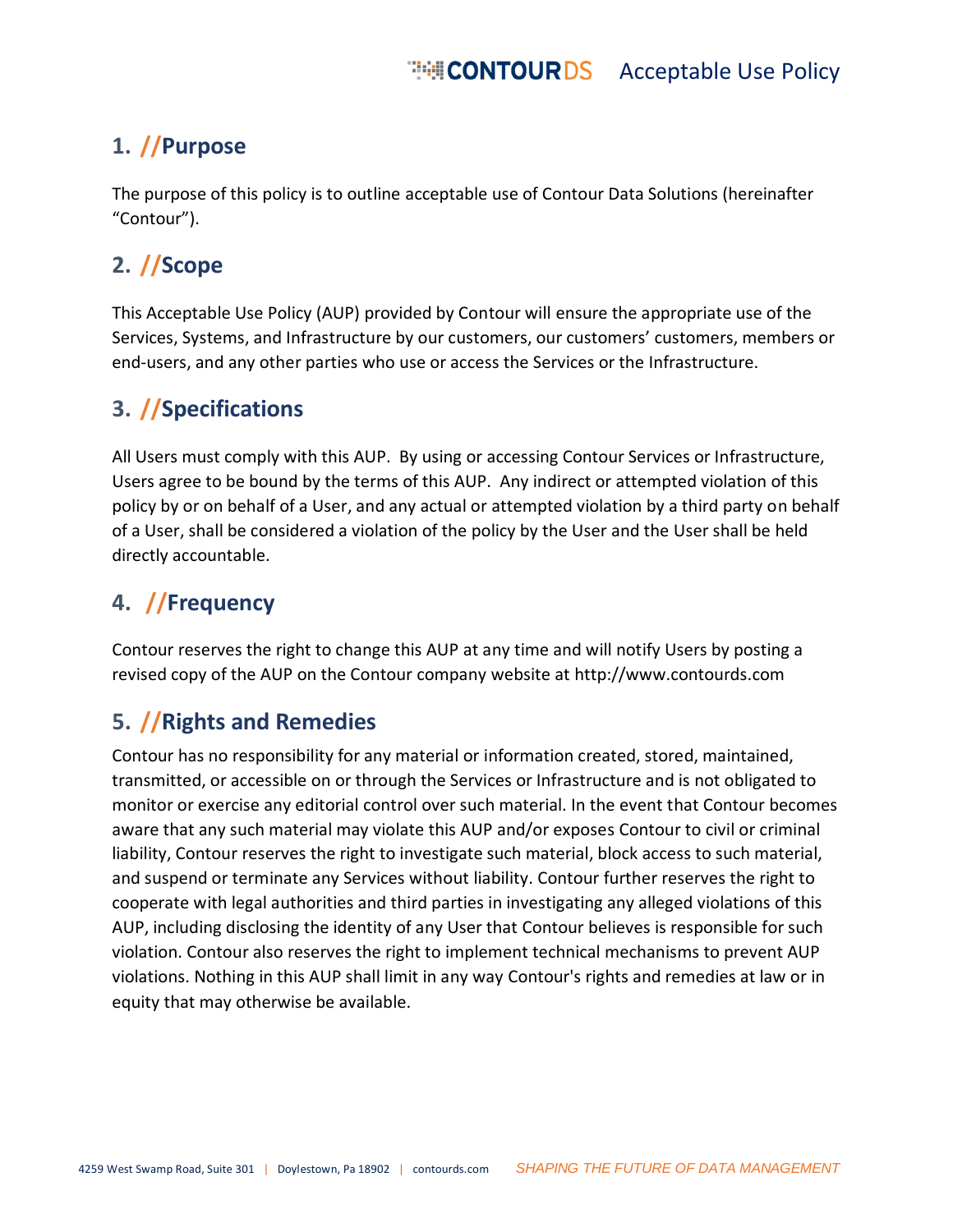## **1. //Purpose**

The purpose of this policy is to outline acceptable use of Contour Data Solutions (hereinafter "Contour").

#### **2. //Scope**

This Acceptable Use Policy (AUP) provided by Contour will ensure the appropriate use of the Services, Systems, and Infrastructure by our customers, our customers' customers, members or end-users, and any other parties who use or access the Services or the Infrastructure.

## **3. //Specifications**

All Users must comply with this AUP. By using or accessing Contour Services or Infrastructure, Users agree to be bound by the terms of this AUP. Any indirect or attempted violation of this policy by or on behalf of a User, and any actual or attempted violation by a third party on behalf of a User, shall be considered a violation of the policy by the User and the User shall be held directly accountable.

### **4. //Frequency**

Contour reserves the right to change this AUP at any time and will notify Users by posting a revised copy of the AUP on the Contour company website at [http://www.contourds.com](http://www.contourds.com/)

# **5. //Rights and Remedies**

Contour has no responsibility for any material or information created, stored, maintained, transmitted, or accessible on or through the Services or Infrastructure and is not obligated to monitor or exercise any editorial control over such material. In the event that Contour becomes aware that any such material may violate this AUP and/or exposes Contour to civil or criminal liability, Contour reserves the right to investigate such material, block access to such material, and suspend or terminate any Services without liability. Contour further reserves the right to cooperate with legal authorities and third parties in investigating any alleged violations of this AUP, including disclosing the identity of any User that Contour believes is responsible for such violation. Contour also reserves the right to implement technical mechanisms to prevent AUP violations. Nothing in this AUP shall limit in any way Contour's rights and remedies at law or in equity that may otherwise be available.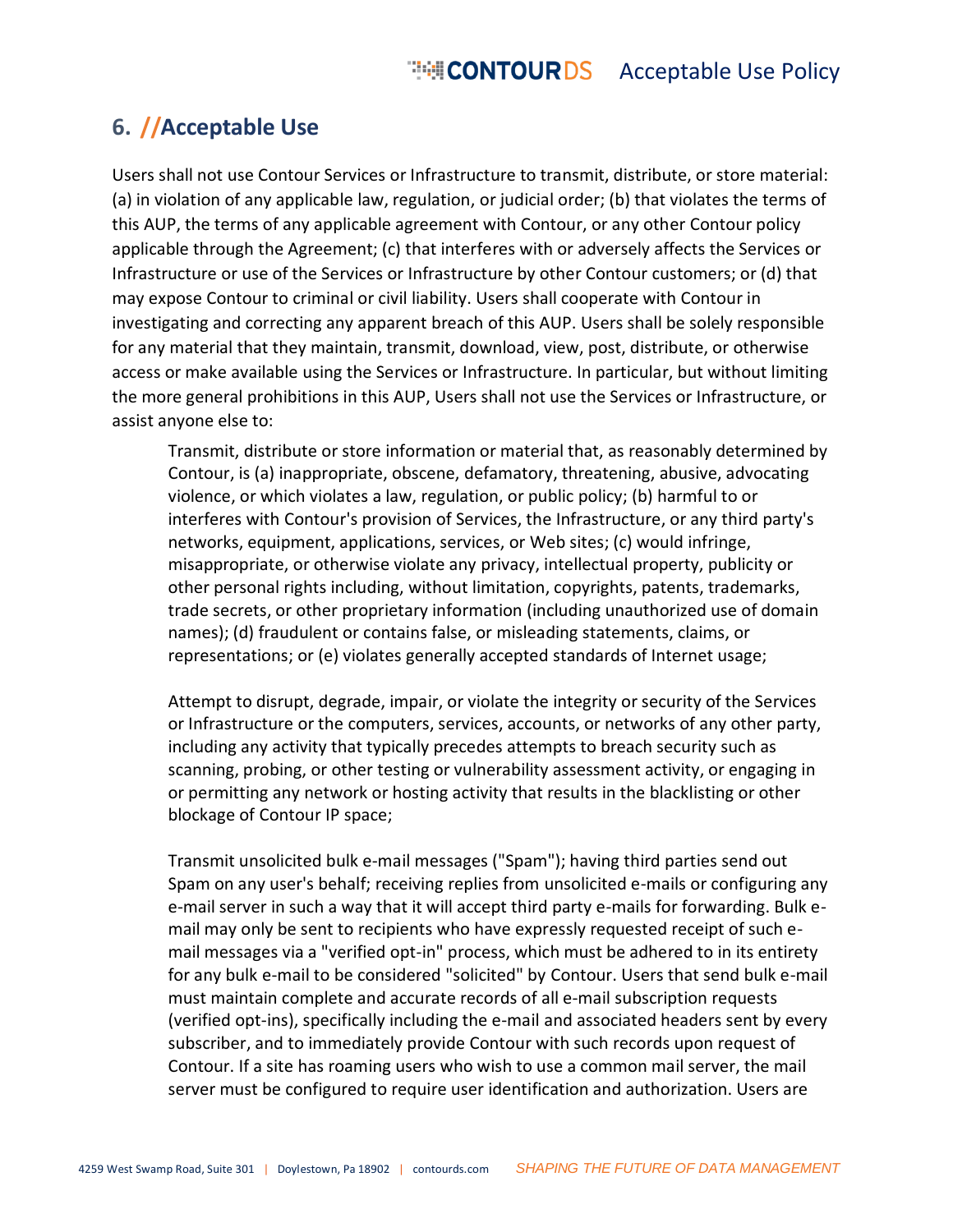#### **6. //Acceptable Use**

Users shall not use Contour Services or Infrastructure to transmit, distribute, or store material: (a) in violation of any applicable law, regulation, or judicial order; (b) that violates the terms of this AUP, the terms of any applicable agreement with Contour, or any other Contour policy applicable through the Agreement; (c) that interferes with or adversely affects the Services or Infrastructure or use of the Services or Infrastructure by other Contour customers; or (d) that may expose Contour to criminal or civil liability. Users shall cooperate with Contour in investigating and correcting any apparent breach of this AUP. Users shall be solely responsible for any material that they maintain, transmit, download, view, post, distribute, or otherwise access or make available using the Services or Infrastructure. In particular, but without limiting the more general prohibitions in this AUP, Users shall not use the Services or Infrastructure, or assist anyone else to:

Transmit, distribute or store information or material that, as reasonably determined by Contour, is (a) inappropriate, obscene, defamatory, threatening, abusive, advocating violence, or which violates a law, regulation, or public policy; (b) harmful to or interferes with Contour's provision of Services, the Infrastructure, or any third party's networks, equipment, applications, services, or Web sites; (c) would infringe, misappropriate, or otherwise violate any privacy, intellectual property, publicity or other personal rights including, without limitation, copyrights, patents, trademarks, trade secrets, or other proprietary information (including unauthorized use of domain names); (d) fraudulent or contains false, or misleading statements, claims, or representations; or (e) violates generally accepted standards of Internet usage;

Attempt to disrupt, degrade, impair, or violate the integrity or security of the Services or Infrastructure or the computers, services, accounts, or networks of any other party, including any activity that typically precedes attempts to breach security such as scanning, probing, or other testing or vulnerability assessment activity, or engaging in or permitting any network or hosting activity that results in the blacklisting or other blockage of Contour IP space;

Transmit unsolicited bulk e-mail messages ("Spam"); having third parties send out Spam on any user's behalf; receiving replies from unsolicited e-mails or configuring any e-mail server in such a way that it will accept third party e-mails for forwarding. Bulk email may only be sent to recipients who have expressly requested receipt of such email messages via a "verified opt-in" process, which must be adhered to in its entirety for any bulk e-mail to be considered "solicited" by Contour. Users that send bulk e-mail must maintain complete and accurate records of all e-mail subscription requests (verified opt-ins), specifically including the e-mail and associated headers sent by every subscriber, and to immediately provide Contour with such records upon request of Contour. If a site has roaming users who wish to use a common mail server, the mail server must be configured to require user identification and authorization. Users are